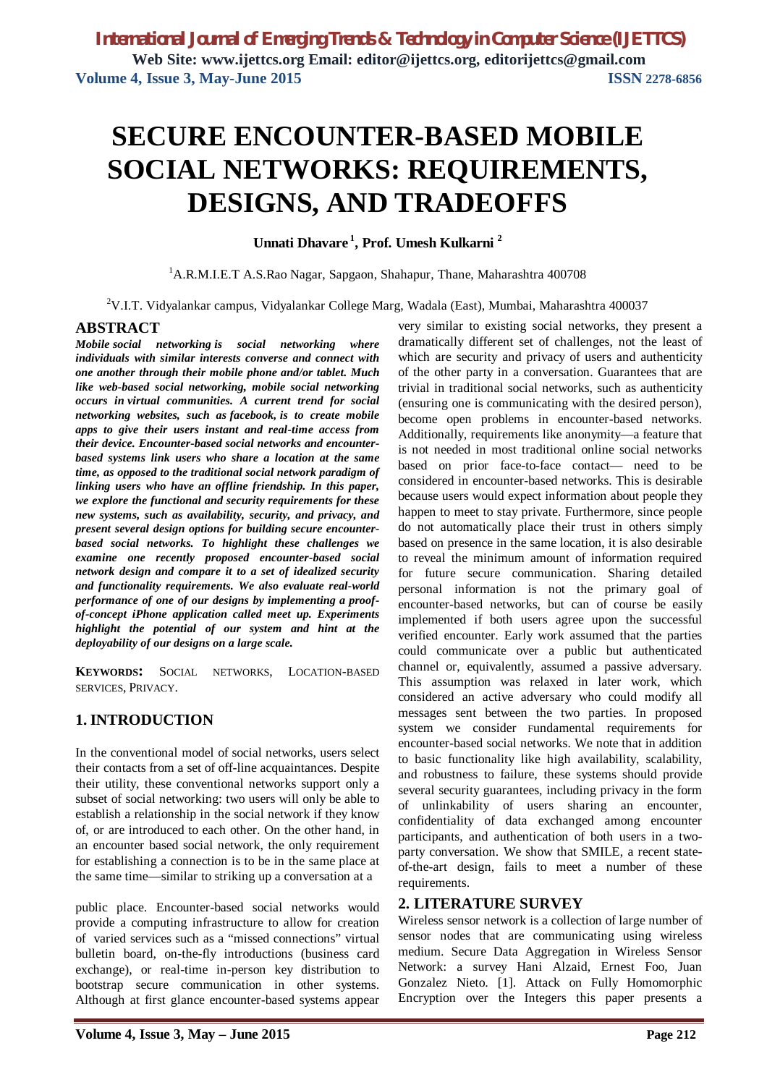# **SECURE ENCOUNTER-BASED MOBILE SOCIAL NETWORKS: REQUIREMENTS, DESIGNS, AND TRADEOFFS**

**Unnati Dhavare <sup>1</sup> , Prof. Umesh Kulkarni <sup>2</sup>**

<sup>1</sup>A.R.M.I.E.T A.S.Rao Nagar, Sapgaon, Shahapur, Thane, Maharashtra 400708

<sup>2</sup>V.I.T. Vidyalankar campus, Vidyalankar College Marg, Wadala (East), Mumbai, Maharashtra 400037

## **ABSTRACT**

*Mobile social networking is social networking where individuals with similar interests converse and connect with one another through their mobile phone and/or tablet. Much like web-based social networking, mobile social networking occurs in virtual communities. A current trend for social networking websites, such as facebook, is to create mobile apps to give their users instant and real-time access from their device. Encounter-based social networks and encounterbased systems link users who share a location at the same time, as opposed to the traditional social network paradigm of linking users who have an offline friendship. In this paper, we explore the functional and security requirements for these new systems, such as availability, security, and privacy, and present several design options for building secure encounterbased social networks. To highlight these challenges we examine one recently proposed encounter-based social network design and compare it to a set of idealized security and functionality requirements. We also evaluate real-world performance of one of our designs by implementing a proofof-concept iPhone application called meet up. Experiments highlight the potential of our system and hint at the deployability of our designs on a large scale.*

**KEYWORDS:** SOCIAL NETWORKS, LOCATION-BASED SERVICES, PRIVACY.

# **1. INTRODUCTION**

In the conventional model of social networks, users select their contacts from a set of off-line acquaintances. Despite their utility, these conventional networks support only a subset of social networking: two users will only be able to establish a relationship in the social network if they know of, or are introduced to each other. On the other hand, in an encounter based social network, the only requirement for establishing a connection is to be in the same place at the same time—similar to striking up a conversation at a

public place. Encounter-based social networks would provide a computing infrastructure to allow for creation of varied services such as a "missed connections" virtual bulletin board, on-the-fly introductions (business card exchange), or real-time in-person key distribution to bootstrap secure communication in other systems. Although at first glance encounter-based systems appear

very similar to existing social networks, they present a dramatically different set of challenges, not the least of which are security and privacy of users and authenticity of the other party in a conversation. Guarantees that are trivial in traditional social networks, such as authenticity (ensuring one is communicating with the desired person), become open problems in encounter-based networks. Additionally, requirements like anonymity—a feature that is not needed in most traditional online social networks based on prior face-to-face contact— need to be considered in encounter-based networks. This is desirable because users would expect information about people they happen to meet to stay private. Furthermore, since people do not automatically place their trust in others simply based on presence in the same location, it is also desirable to reveal the minimum amount of information required for future secure communication. Sharing detailed personal information is not the primary goal of encounter-based networks, but can of course be easily implemented if both users agree upon the successful verified encounter. Early work assumed that the parties could communicate over a public but authenticated channel or, equivalently, assumed a passive adversary. This assumption was relaxed in later work, which considered an active adversary who could modify all messages sent between the two parties. In proposed system we consider Fundamental requirements for encounter-based social networks. We note that in addition to basic functionality like high availability, scalability, and robustness to failure, these systems should provide several security guarantees, including privacy in the form of unlinkability of users sharing an encounter, confidentiality of data exchanged among encounter participants, and authentication of both users in a twoparty conversation. We show that SMILE, a recent stateof-the-art design, fails to meet a number of these requirements.

### **2. LITERATURE SURVEY**

Wireless sensor network is a collection of large number of sensor nodes that are communicating using wireless medium. Secure Data Aggregation in Wireless Sensor Network: a survey Hani Alzaid, Ernest Foo, Juan Gonzalez Nieto. [1]. Attack on Fully Homomorphic Encryption over the Integers this paper presents a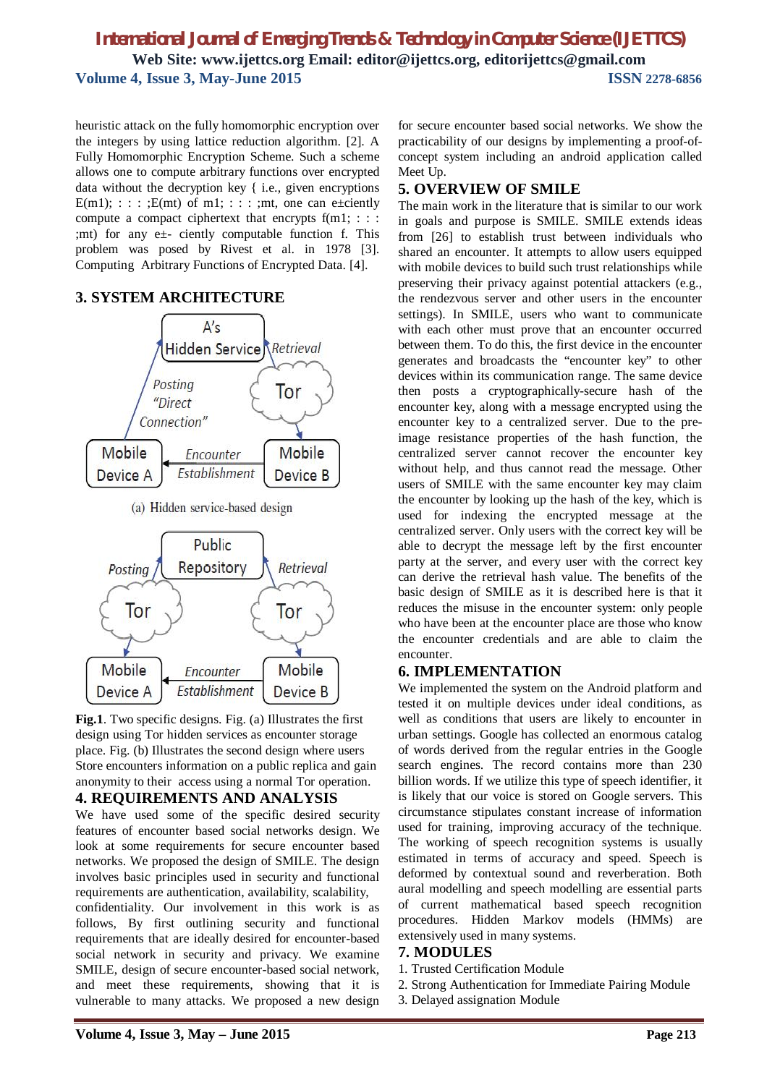# *International Journal of Emerging Trends & Technology in Computer Science (IJETTCS)* **Web Site: www.ijettcs.org Email: editor@ijettcs.org, editorijettcs@gmail.com Volume 4, Issue 3, May-June 2015 ISSN** 2278-6856

heuristic attack on the fully homomorphic encryption over the integers by using lattice reduction algorithm. [2]. A Fully Homomorphic Encryption Scheme. Such a scheme allows one to compute arbitrary functions over encrypted data without the decryption key { i.e., given encryptions  $E(m1);$  : : : ; $E(mt)$  of m1; : : : ;mt, one can e±ciently compute a compact ciphertext that encrypts f(m1; : : : ;mt) for any e±- ciently computable function f. This problem was posed by Rivest et al. in 1978 [3]. Computing Arbitrary Functions of Encrypted Data. [4].

## **3. SYSTEM ARCHITECTURE**





**Fig.1**. Two specific designs. Fig. (a) Illustrates the first design using Tor hidden services as encounter storage place. Fig. (b) Illustrates the second design where users Store encounters information on a public replica and gain anonymity to their access using a normal Tor operation.

## **4. REQUIREMENTS AND ANALYSIS**

We have used some of the specific desired security features of encounter based social networks design. We look at some requirements for secure encounter based networks. We proposed the design of SMILE. The design involves basic principles used in security and functional requirements are authentication, availability, scalability, confidentiality. Our involvement in this work is as follows, By first outlining security and functional requirements that are ideally desired for encounter-based social network in security and privacy. We examine SMILE, design of secure encounter-based social network, and meet these requirements, showing that it is vulnerable to many attacks. We proposed a new design for secure encounter based social networks. We show the practicability of our designs by implementing a proof-ofconcept system including an android application called Meet Up.

# **5. OVERVIEW OF SMILE**

The main work in the literature that is similar to our work in goals and purpose is SMILE. SMILE extends ideas from [26] to establish trust between individuals who shared an encounter. It attempts to allow users equipped with mobile devices to build such trust relationships while preserving their privacy against potential attackers (e.g., the rendezvous server and other users in the encounter settings). In SMILE, users who want to communicate with each other must prove that an encounter occurred between them. To do this, the first device in the encounter generates and broadcasts the "encounter key" to other devices within its communication range. The same device then posts a cryptographically-secure hash of the encounter key, along with a message encrypted using the encounter key to a centralized server. Due to the preimage resistance properties of the hash function, the centralized server cannot recover the encounter key without help, and thus cannot read the message. Other users of SMILE with the same encounter key may claim the encounter by looking up the hash of the key, which is used for indexing the encrypted message at the centralized server. Only users with the correct key will be able to decrypt the message left by the first encounter party at the server, and every user with the correct key can derive the retrieval hash value. The benefits of the basic design of SMILE as it is described here is that it reduces the misuse in the encounter system: only people who have been at the encounter place are those who know the encounter credentials and are able to claim the encounter.

## **6. IMPLEMENTATION**

We implemented the system on the Android platform and tested it on multiple devices under ideal conditions, as well as conditions that users are likely to encounter in urban settings. Google has collected an enormous catalog of words derived from the regular entries in the Google search engines. The record contains more than 230 billion words. If we utilize this type of speech identifier, it is likely that our voice is stored on Google servers. This circumstance stipulates constant increase of information used for training, improving accuracy of the technique. The working of speech recognition systems is usually estimated in terms of accuracy and speed. Speech is deformed by contextual sound and reverberation. Both aural modelling and speech modelling are essential parts of current mathematical based speech recognition procedures. Hidden Markov models (HMMs) are extensively used in many systems.

### **7. MODULES**

- 1. Trusted Certification Module
- 2. Strong Authentication for Immediate Pairing Module
- 3. Delayed assignation Module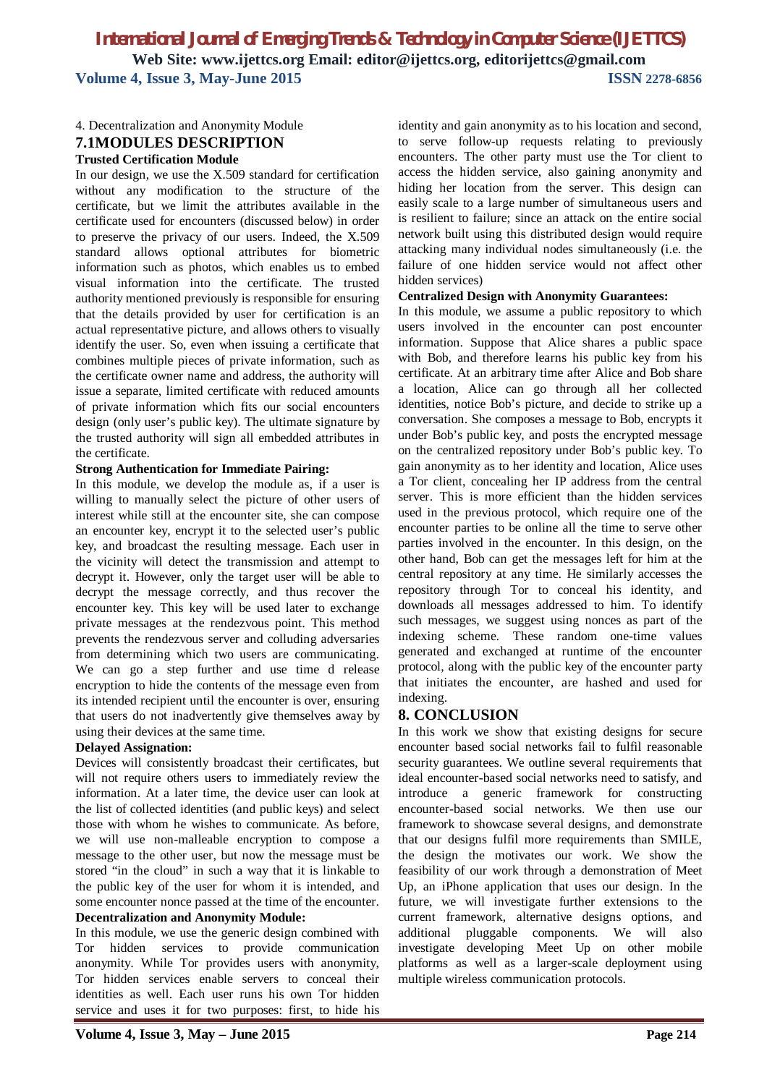# *International Journal of Emerging Trends & Technology in Computer Science (IJETTCS)* **Web Site: www.ijettcs.org Email: editor@ijettcs.org, editorijettcs@gmail.com Volume 4, Issue 3, May-June 2015 ISSN 2278-6856**

# 4. Decentralization and Anonymity Module **7.1MODULES DESCRIPTION**

#### **Trusted Certification Module**

In our design, we use the X.509 standard for certification without any modification to the structure of the certificate, but we limit the attributes available in the certificate used for encounters (discussed below) in order to preserve the privacy of our users. Indeed, the X.509 standard allows optional attributes for biometric information such as photos, which enables us to embed visual information into the certificate. The trusted authority mentioned previously is responsible for ensuring that the details provided by user for certification is an actual representative picture, and allows others to visually identify the user. So, even when issuing a certificate that combines multiple pieces of private information, such as the certificate owner name and address, the authority will issue a separate, limited certificate with reduced amounts of private information which fits our social encounters design (only user's public key). The ultimate signature by the trusted authority will sign all embedded attributes in the certificate.

#### **Strong Authentication for Immediate Pairing:**

In this module, we develop the module as, if a user is willing to manually select the picture of other users of interest while still at the encounter site, she can compose an encounter key, encrypt it to the selected user's public key, and broadcast the resulting message. Each user in the vicinity will detect the transmission and attempt to decrypt it. However, only the target user will be able to decrypt the message correctly, and thus recover the encounter key. This key will be used later to exchange private messages at the rendezvous point. This method prevents the rendezvous server and colluding adversaries from determining which two users are communicating. We can go a step further and use time d release encryption to hide the contents of the message even from its intended recipient until the encounter is over, ensuring that users do not inadvertently give themselves away by using their devices at the same time.

#### **Delayed Assignation:**

Devices will consistently broadcast their certificates, but will not require others users to immediately review the information. At a later time, the device user can look at the list of collected identities (and public keys) and select those with whom he wishes to communicate. As before, we will use non-malleable encryption to compose a message to the other user, but now the message must be stored "in the cloud" in such a way that it is linkable to the public key of the user for whom it is intended, and some encounter nonce passed at the time of the encounter.

### **Decentralization and Anonymity Module:**

In this module, we use the generic design combined with Tor hidden services to provide communication anonymity. While Tor provides users with anonymity, Tor hidden services enable servers to conceal their identities as well. Each user runs his own Tor hidden service and uses it for two purposes: first, to hide his identity and gain anonymity as to his location and second, to serve follow-up requests relating to previously encounters. The other party must use the Tor client to access the hidden service, also gaining anonymity and hiding her location from the server. This design can easily scale to a large number of simultaneous users and is resilient to failure; since an attack on the entire social network built using this distributed design would require attacking many individual nodes simultaneously (i.e. the failure of one hidden service would not affect other hidden services)

#### **Centralized Design with Anonymity Guarantees:**

In this module, we assume a public repository to which users involved in the encounter can post encounter information. Suppose that Alice shares a public space with Bob, and therefore learns his public key from his certificate. At an arbitrary time after Alice and Bob share a location, Alice can go through all her collected identities, notice Bob's picture, and decide to strike up a conversation. She composes a message to Bob, encrypts it under Bob's public key, and posts the encrypted message on the centralized repository under Bob's public key. To gain anonymity as to her identity and location, Alice uses a Tor client, concealing her IP address from the central server. This is more efficient than the hidden services used in the previous protocol, which require one of the encounter parties to be online all the time to serve other parties involved in the encounter. In this design, on the other hand, Bob can get the messages left for him at the central repository at any time. He similarly accesses the repository through Tor to conceal his identity, and downloads all messages addressed to him. To identify such messages, we suggest using nonces as part of the indexing scheme. These random one-time values generated and exchanged at runtime of the encounter protocol, along with the public key of the encounter party that initiates the encounter, are hashed and used for indexing.

## **8. CONCLUSION**

In this work we show that existing designs for secure encounter based social networks fail to fulfil reasonable security guarantees. We outline several requirements that ideal encounter-based social networks need to satisfy, and introduce a generic framework for constructing encounter-based social networks. We then use our framework to showcase several designs, and demonstrate that our designs fulfil more requirements than SMILE, the design the motivates our work. We show the feasibility of our work through a demonstration of Meet Up, an iPhone application that uses our design. In the future, we will investigate further extensions to the current framework, alternative designs options, and additional pluggable components. We will also investigate developing Meet Up on other mobile platforms as well as a larger-scale deployment using multiple wireless communication protocols.